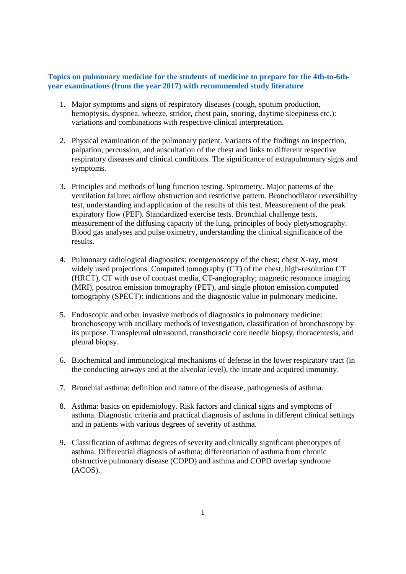## **Topics on pulmonary medicine for the students of medicine to prepare for the 4th-to-6thyear examinations (from the year 2017) with recommended study literature**

- 1. Major symptoms and signs of respiratory diseases (cough, sputum production, hemoptysis, dyspnea, wheeze, stridor, chest pain, snoring, daytime sleepiness etc.): variations and combinations with respective clinical interpretation.
- 2. Physical examination of the pulmonary patient. Variants of the findings on inspection, palpation, percussion, and auscultation of the chest and links to different respective respiratory diseases and clinical conditions. The significance of extrapulmonary signs and symptoms.
- 3. Principles and methods of lung function testing. Spirometry. Major patterns of the ventilation failure: airflow obstruction and restrictive pattern. Bronchodilator reversibility test, understanding and application of the results of this test. Measurement of the peak expiratory flow (PEF). Standardized exercise tests. Bronchial challenge tests, measurement of the diffusing capacity of the lung, principles of body pletysmography. Blood gas analyses and pulse oximetry, understanding the clinical significance of the results.
- 4. Pulmonary radiological diagnostics: roentgenoscopy of the chest; chest X-ray, most widely used projections. Computed tomography (CT) of the chest, high-resolution CT (HRCT), CT with use of contrast media, CT-angiography; magnetic resonance imaging (MRI), positron emission tomography (PET), and single photon emission computed tomography (SPECT): indications and the diagnostic value in pulmonary medicine.
- 5. Endoscopic and other invasive methods of diagnostics in pulmonary medicine: bronchoscopy with ancillary methods of investigation, classification of bronchoscopy by its purpose. Transpleural ultrasound, transthoracic core needle biopsy, thoracentesis, and pleural biopsy.
- 6. Biochemical and immunological mechanisms of defense in the lower respiratory tract (in the conducting airways and at the alveolar level), the innate and acquired immunity.
- 7. Bronchial asthma: definition and nature of the disease, pathogenesis of asthma.
- 8. Asthma: basics on epidemiology. Risk factors and clinical signs and symptoms of asthma. Diagnostic criteria and practical diagnosis of asthma in different clinical settings and in patients with various degrees of severity of asthma.
- 9. Classification of asthma: degrees of severity and clinically significant phenotypes of asthma. Differential diagnosis of asthma; differentiation of asthma from chronic obstructive pulmonary disease (COPD) and asthma and COPD overlap syndrome (ACOS).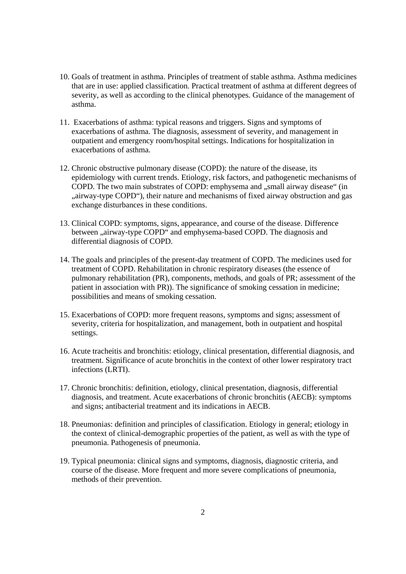- 10. Goals of treatment in asthma. Principles of treatment of stable asthma. Asthma medicines that are in use: applied classification. Practical treatment of asthma at different degrees of severity, as well as according to the clinical phenotypes. Guidance of the management of asthma.
- 11. Exacerbations of asthma: typical reasons and triggers. Signs and symptoms of exacerbations of asthma. The diagnosis, assessment of severity, and management in outpatient and emergency room/hospital settings. Indications for hospitalization in exacerbations of asthma.
- 12. Chronic obstructive pulmonary disease (COPD): the nature of the disease, its epidemiology with current trends. Etiology, risk factors, and pathogenetic mechanisms of COPD. The two main substrates of COPD: emphysema and "small airway disease" (in ", airway-type COPD"), their nature and mechanisms of fixed airway obstruction and gas exchange disturbances in these conditions.
- 13. Clinical COPD: symptoms, signs, appearance, and course of the disease. Difference between ,,airway-type COPD" and emphysema-based COPD. The diagnosis and differential diagnosis of COPD.
- 14. The goals and principles of the present-day treatment of COPD. The medicines used for treatment of COPD. Rehabilitation in chronic respiratory diseases (the essence of pulmonary rehabilitation (PR), components, methods, and goals of PR; assessment of the patient in association with PR)). The significance of smoking cessation in medicine; possibilities and means of smoking cessation.
- 15. Exacerbations of COPD: more frequent reasons, symptoms and signs; assessment of severity, criteria for hospitalization, and management, both in outpatient and hospital settings.
- 16. Acute tracheitis and bronchitis: etiology, clinical presentation, differential diagnosis, and treatment. Significance of acute bronchitis in the context of other lower respiratory tract infections (LRTI).
- 17. Chronic bronchitis: definition, etiology, clinical presentation, diagnosis, differential diagnosis, and treatment. Acute exacerbations of chronic bronchitis (AECB): symptoms and signs; antibacterial treatment and its indications in AECB.
- 18. Pneumonias: definition and principles of classification. Etiology in general; etiology in the context of clinical-demographic properties of the patient, as well as with the type of pneumonia. Pathogenesis of pneumonia.
- 19. Typical pneumonia: clinical signs and symptoms, diagnosis, diagnostic criteria, and course of the disease. More frequent and more severe complications of pneumonia, methods of their prevention.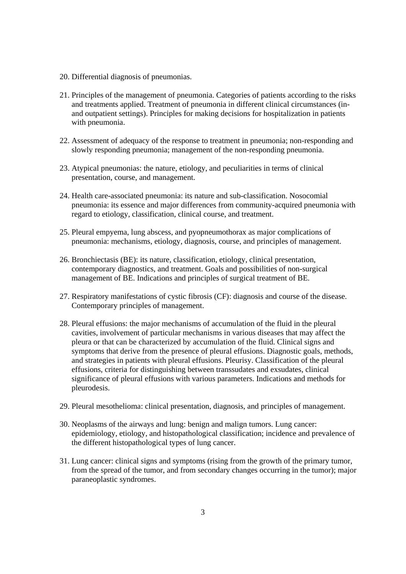- 20. Differential diagnosis of pneumonias.
- 21. Principles of the management of pneumonia. Categories of patients according to the risks and treatments applied. Treatment of pneumonia in different clinical circumstances (inand outpatient settings). Principles for making decisions for hospitalization in patients with pneumonia.
- 22. Assessment of adequacy of the response to treatment in pneumonia; non-responding and slowly responding pneumonia; management of the non-responding pneumonia.
- 23. Atypical pneumonias: the nature, etiology, and peculiarities in terms of clinical presentation, course, and management.
- 24. Health care-associated pneumonia: its nature and sub-classification. Nosocomial pneumonia: its essence and major differences from community-acquired pneumonia with regard to etiology, classification, clinical course, and treatment.
- 25. Pleural empyema, lung abscess, and pyopneumothorax as major complications of pneumonia: mechanisms, etiology, diagnosis, course, and principles of management.
- 26. Bronchiectasis (BE): its nature, classification, etiology, clinical presentation, contemporary diagnostics, and treatment. Goals and possibilities of non-surgical management of BE. Indications and principles of surgical treatment of BE.
- 27. Respiratory manifestations of cystic fibrosis (CF): diagnosis and course of the disease. Contemporary principles of management.
- 28. Pleural effusions: the major mechanisms of accumulation of the fluid in the pleural cavities, involvement of particular mechanisms in various diseases that may affect the pleura or that can be characterized by accumulation of the fluid. Clinical signs and symptoms that derive from the presence of pleural effusions. Diagnostic goals, methods, and strategies in patients with pleural effusions. Pleurisy. Classification of the pleural effusions, criteria for distinguishing between transsudates and exsudates, clinical significance of pleural effusions with various parameters. Indications and methods for pleurodesis.
- 29. Pleural mesothelioma: clinical presentation, diagnosis, and principles of management.
- 30. Neoplasms of the airways and lung: benign and malign tumors. Lung cancer: epidemiology, etiology, and histopathological classification; incidence and prevalence of the different histopathological types of lung cancer.
- 31. Lung cancer: clinical signs and symptoms (rising from the growth of the primary tumor, from the spread of the tumor, and from secondary changes occurring in the tumor); major paraneoplastic syndromes.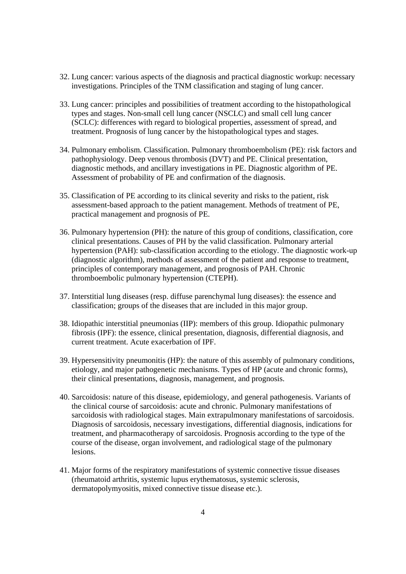- 32. Lung cancer: various aspects of the diagnosis and practical diagnostic workup: necessary investigations. Principles of the TNM classification and staging of lung cancer.
- 33. Lung cancer: principles and possibilities of treatment according to the histopathological types and stages. Non-small cell lung cancer (NSCLC) and small cell lung cancer (SCLC): differences with regard to biological properties, assessment of spread, and treatment. Prognosis of lung cancer by the histopathological types and stages.
- 34. Pulmonary embolism. Classification. Pulmonary thromboembolism (PE): risk factors and pathophysiology. Deep venous thrombosis (DVT) and PE. Clinical presentation, diagnostic methods, and ancillary investigations in PE. Diagnostic algorithm of PE. Assessment of probability of PE and confirmation of the diagnosis.
- 35. Classification of PE according to its clinical severity and risks to the patient, risk assessment-based approach to the patient management. Methods of treatment of PE, practical management and prognosis of PE.
- 36. Pulmonary hypertension (PH): the nature of this group of conditions, classification, core clinical presentations. Causes of PH by the valid classification. Pulmonary arterial hypertension (PAH): sub-classification according to the etiology. The diagnostic work-up (diagnostic algorithm), methods of assessment of the patient and response to treatment, principles of contemporary management, and prognosis of PAH. Chronic thromboembolic pulmonary hypertension (CTEPH).
- 37. Interstitial lung diseases (resp. diffuse parenchymal lung diseases): the essence and classification; groups of the diseases that are included in this major group.
- 38. Idiopathic interstitial pneumonias (IIP): members of this group. Idiopathic pulmonary fibrosis (IPF): the essence, clinical presentation, diagnosis, differential diagnosis, and current treatment. Acute exacerbation of IPF.
- 39. Hypersensitivity pneumonitis (HP): the nature of this assembly of pulmonary conditions, etiology, and major pathogenetic mechanisms. Types of HP (acute and chronic forms), their clinical presentations, diagnosis, management, and prognosis.
- 40. Sarcoidosis: nature of this disease, epidemiology, and general pathogenesis. Variants of the clinical course of sarcoidosis: acute and chronic. Pulmonary manifestations of sarcoidosis with radiological stages. Main extrapulmonary manifestations of sarcoidosis. Diagnosis of sarcoidosis, necessary investigations, differential diagnosis, indications for treatment, and pharmacotherapy of sarcoidosis. Prognosis according to the type of the course of the disease, organ involvement, and radiological stage of the pulmonary lesions.
- 41. Major forms of the respiratory manifestations of systemic connective tissue diseases (rheumatoid arthritis, systemic lupus erythematosus, systemic sclerosis, dermatopolymyositis, mixed connective tissue disease etc.).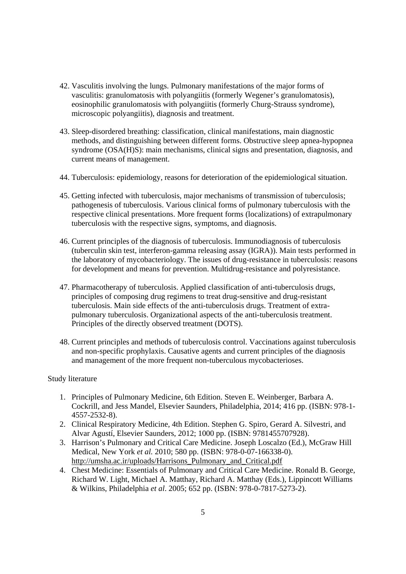- 42. Vasculitis involving the lungs. Pulmonary manifestations of the major forms of vasculitis: granulomatosis with polyangiitis (formerly Wegener's granulomatosis), eosinophilic granulomatosis with polyangiitis (formerly Churg-Strauss syndrome), microscopic polyangiitis), diagnosis and treatment.
- 43. Sleep-disordered breathing: classification, clinical manifestations, main diagnostic methods, and distinguishing between different forms. Obstructive sleep apnea-hypopnea syndrome (OSA(H)S): main mechanisms, clinical signs and presentation, diagnosis, and current means of management.
- 44. Tuberculosis: epidemiology, reasons for deterioration of the epidemiological situation.
- 45. Getting infected with tuberculosis, major mechanisms of transmission of tuberculosis; pathogenesis of tuberculosis. Various clinical forms of pulmonary tuberculosis with the respective clinical presentations. More frequent forms (localizations) of extrapulmonary tuberculosis with the respective signs, symptoms, and diagnosis.
- 46. Current principles of the diagnosis of tuberculosis. Immunodiagnosis of tuberculosis (tuberculin skin test, interferon-gamma releasing assay (IGRA)). Main tests performed in the laboratory of mycobacteriology. The issues of drug-resistance in tuberculosis: reasons for development and means for prevention. Multidrug-resistance and polyresistance.
- 47. Pharmacotherapy of tuberculosis. Applied classification of anti-tuberculosis drugs, principles of composing drug regimens to treat drug-sensitive and drug-resistant tuberculosis. Main side effects of the anti-tuberculosis drugs. Treatment of extrapulmonary tuberculosis. Organizational aspects of the anti-tuberculosis treatment. Principles of the directly observed treatment (DOTS).
- 48. Current principles and methods of tuberculosis control. Vaccinations against tuberculosis and non-specific prophylaxis. Causative agents and current principles of the diagnosis and management of the more frequent non-tuberculous mycobacterioses.

## Study literature

- 1. Principles of Pulmonary Medicine, 6th Edition. Steven E. Weinberger, Barbara A. Cockrill, and Jess Mandel, Elsevier Saunders, Philadelphia, 2014; 416 pp. (ISBN: 978-1- 4557-2532-8).
- 2. Clinical Respiratory Medicine, 4th Edition. Stephen G. Spiro, Gerard A. Silvestri, and Alvar Agustí, Elsevier Saunders, 2012; 1000 pp. (ISBN: 9781455707928).
- 3. Harrison's Pulmonary and Critical Care Medicine. Joseph Loscalzo (Ed.), McGraw Hill Medical, New York *et al.* 2010; 580 pp. (ISBN: 978-0-07-166338-0). http://umsha.ac.ir/uploads/Harrisons\_Pulmonary\_and\_Critical.pdf
- 4. Chest Medicine: Essentials of Pulmonary and Critical Care Medicine. Ronald B. George, Richard W. Light, Michael A. Matthay, Richard A. Matthay (Eds.), Lippincott Williams & Wilkins, Philadelphia *et al*. 2005; 652 pp. (ISBN: 978-0-7817-5273-2).